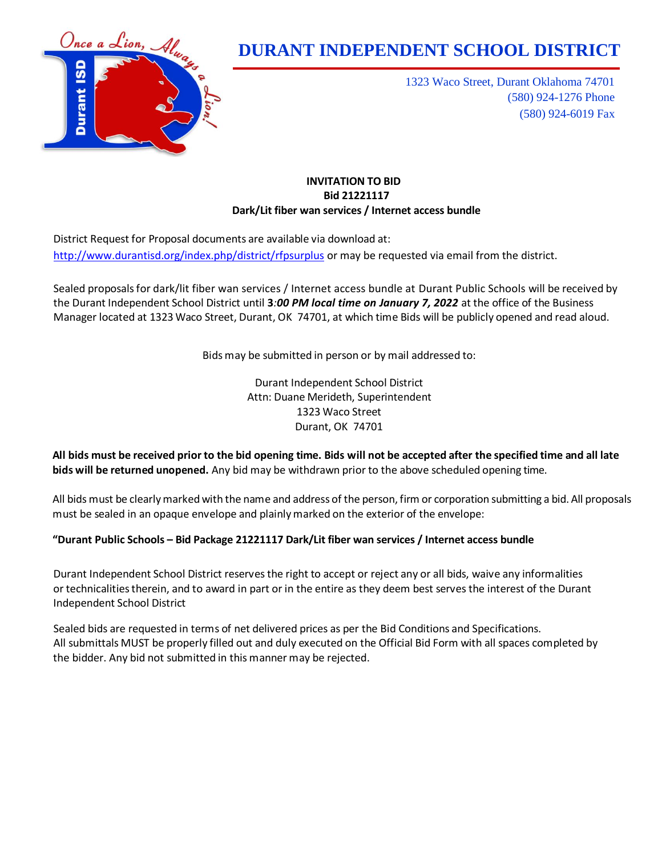

1323 Waco Street, Durant Oklahoma 74701 (580) 924-1276 Phone (580) 924-6019 Fax

## **INVITATION TO BID Bid 21221117 Dark/Lit fiber wan services / Internet access bundle**

District Request for Proposal documents are available via download at: <http://www.durantisd.org/index.php/district/rfpsurplus> or may be requested via email from the district.

Sealed proposalsfor dark/lit fiber wan services / Internet access bundle at Durant Public Schools will be received by the Durant Independent School District until **3***:00 PM local time on January 7, 2022* at the office of the Business Manager located at 1323 Waco Street, Durant, OK 74701, at which time Bids will be publicly opened and read aloud.

Bids may be submitted in person or by mail addressed to:

Durant Independent School District Attn: Duane Merideth, Superintendent 1323 Waco Street Durant, OK 74701

All bids must be received prior to the bid opening time. Bids will not be accepted after the specified time and all late **bids will be returned unopened.** Any bid may be withdrawn prior to the above scheduled opening time.

All bids must be clearlymarked with the name and address of the person, firm or corporation submitting a bid. All proposals must be sealed in an opaque envelope and plainlymarked on the exterior of the envelope:

# **"Durant Public Schools – Bid Package 21221117 Dark/Lit fiber wan services / Internet access bundle**

Durant Independent School District reservesthe right to accept or reject any or all bids, waive any informalities or technicalitiestherein, and to award in part or in the entire as they deem best servesthe interest of the Durant Independent School District

Sealed bids are requested in terms of net delivered prices as per the Bid Conditions and Specifications. All submittals MUST be properly filled out and duly executed on the Official Bid Form with all spaces completed by the bidder. Any bid not submitted in this manner may be rejected.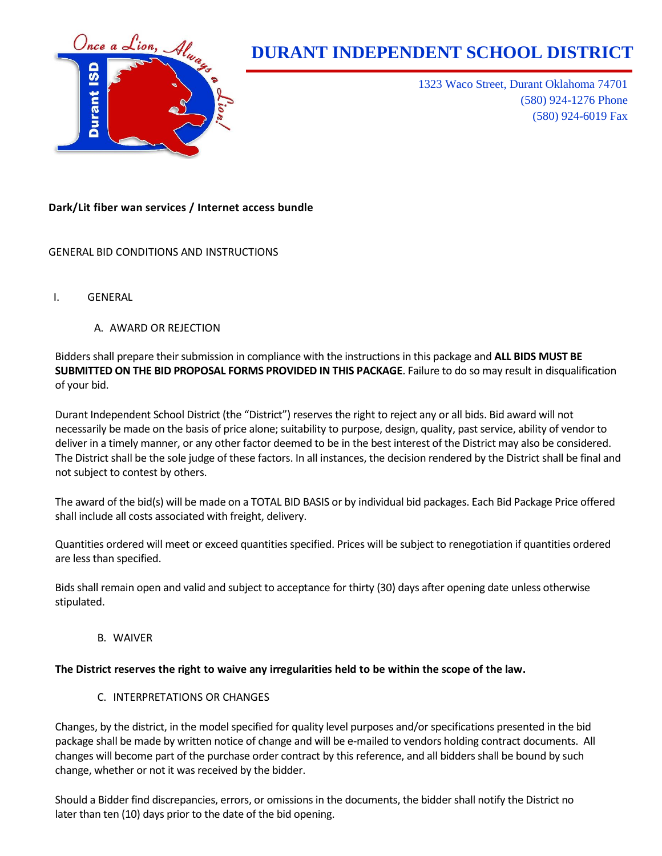

1323 Waco Street, Durant Oklahoma 74701 (580) 924-1276 Phone (580) 924-6019 Fax

## **Dark/Lit fiber wan services / Internet access bundle**

## GENERAL BID CONDITIONS AND INSTRUCTIONS

- I. GENERAL
	- A. AWARD OR REJECTION

Bidders shall prepare their submission in compliance with the instructions in this package and **ALL BIDS MUST BE SUBMITTED ON THE BID PROPOSAL FORMS PROVIDED IN THIS PACKAGE**. Failure to do so may result in disqualification of your bid.

Durant Independent School District (the "District") reserves the right to reject any or all bids. Bid award will not necessarily be made on the basis of price alone; suitability to purpose, design, quality, past service, ability of vendor to deliver in a timely manner, or any other factor deemed to be in the best interest of the District may also be considered. The District shall be the sole judge of these factors. In all instances, the decision rendered by the District shall be final and not subject to contest by others.

The award of the bid(s) will be made on a TOTAL BID BASIS or by individual bid packages. Each Bid Package Price offered shall include all costs associated with freight, delivery.

Quantities ordered will meet or exceed quantities specified. Prices will be subject to renegotiation if quantities ordered are less than specified.

Bids shall remain open and valid and subject to acceptance for thirty (30) days after opening date unless otherwise stipulated.

B. WAIVER

#### **The District reserves the right to waive any irregularities held to be within the scope of the law.**

C. INTERPRETATIONS OR CHANGES

Changes, by the district, in the model specified for quality level purposes and/or specifications presented in the bid package shall be made by written notice of change and will be e-mailed to vendors holding contract documents. All changes will become part of the purchase order contract by this reference, and all bidders shall be bound by such change, whether or not it was received by the bidder.

Should a Bidder find discrepancies, errors, or omissions in the documents, the bidder shall notify the District no later than ten (10) days prior to the date of the bid opening.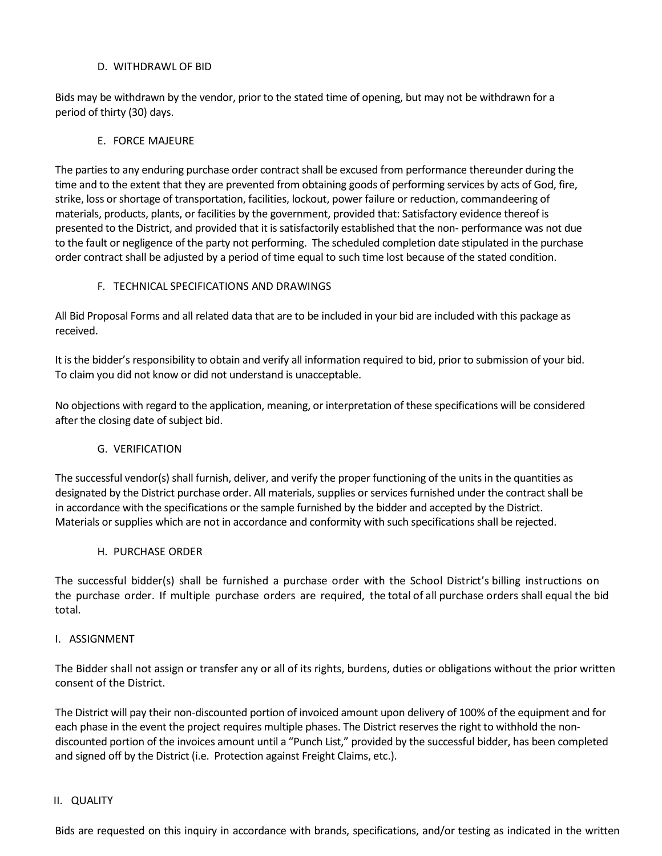#### D. WITHDRAWL OF BID

Bids may be withdrawn by the vendor, prior to the stated time of opening, but may not be withdrawn for a period of thirty (30) days.

#### E. FORCE MAJEURE

The parties to any enduring purchase order contract shall be excused from performance thereunder during the time and to the extent that they are prevented from obtaining goods of performing services by acts of God, fire, strike, loss or shortage of transportation, facilities, lockout, power failure or reduction, commandeering of materials, products, plants, or facilities by the government, provided that: Satisfactory evidence thereof is presented to the District, and provided that it is satisfactorily established that the non- performance was not due to the fault or negligence of the party not performing. The scheduled completion date stipulated in the purchase order contract shall be adjusted by a period of time equal to such time lost because of the stated condition.

## F. TECHNICAL SPECIFICATIONS AND DRAWINGS

All Bid Proposal Forms and all related data that are to be included in your bid are included with this package as received.

It is the bidder's responsibility to obtain and verify all information required to bid, prior to submission of your bid. To claim you did not know or did not understand is unacceptable.

No objections with regard to the application, meaning, or interpretation of these specifications will be considered after the closing date of subject bid.

## G. VERIFICATION

The successful vendor(s) shall furnish, deliver, and verify the proper functioning of the units in the quantities as designated by the District purchase order. All materials, supplies or services furnished under the contract shall be in accordance with the specifications or the sample furnished by the bidder and accepted by the District. Materials or supplies which are not in accordance and conformity with such specifications shall be rejected.

#### H. PURCHASE ORDER

The successful bidder(s) shall be furnished a purchase order with the School District's billing instructions on the purchase order. If multiple purchase orders are required, the total of all purchase orders shall equal the bid total.

#### I. ASSIGNMENT

The Bidder shall not assign or transfer any or all of its rights, burdens, duties or obligations without the prior written consent of the District.

The District will pay their non-discounted portion of invoiced amount upon delivery of 100% of the equipment and for each phase in the event the project requires multiple phases. The District reserves the right to withhold the nondiscounted portion of the invoices amount until a "Punch List," provided by the successful bidder, has been completed and signed off by the District (i.e. Protection against Freight Claims, etc.).

#### II. QUALITY

Bids are requested on this inquiry in accordance with brands, specifications, and/or testing as indicated in the written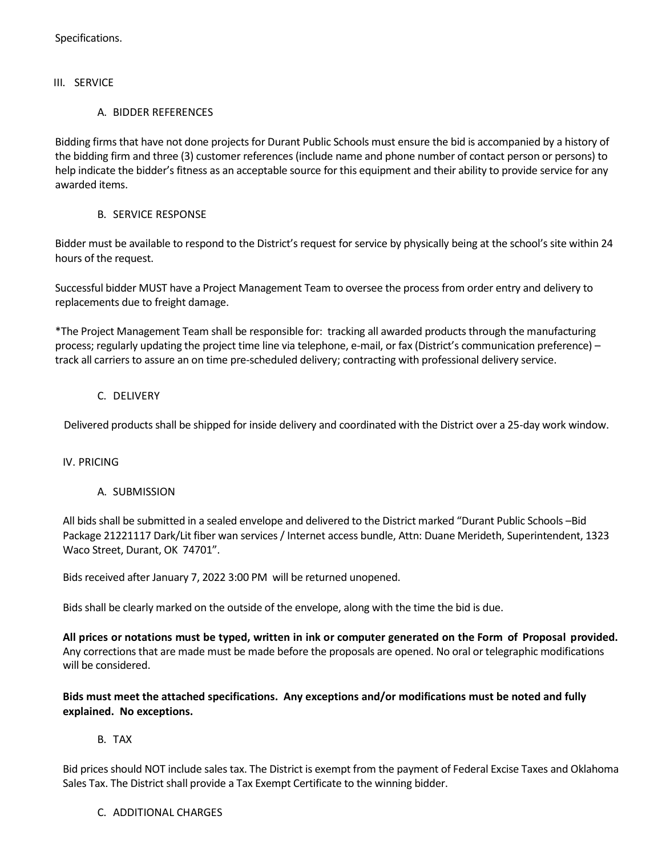Specifications.

#### III. SERVICE

#### A. BIDDER REFERENCES

Bidding firms that have not done projects for Durant Public Schools must ensure the bid is accompanied by a history of the bidding firm and three (3) customer references (include name and phone number of contact person or persons) to help indicate the bidder's fitness as an acceptable source for this equipment and their ability to provide service for any awarded items.

## B. SERVICE RESPONSE

Bidder must be available to respond to the District's request for service by physically being at the school's site within 24 hours of the request.

Successful bidder MUST have a Project Management Team to oversee the process from order entry and delivery to replacements due to freight damage.

\*The Project Management Team shall be responsible for: tracking all awarded products through the manufacturing process; regularly updating the project time line via telephone, e-mail, or fax (District's communication preference) – track all carriers to assure an on time pre-scheduled delivery; contracting with professional delivery service.

## C. DELIVERY

Delivered products shall be shipped for inside delivery and coordinated with the District over a 25-day work window.

#### IV. PRICING

## A. SUBMISSION

All bids shall be submitted in a sealed envelope and delivered to the District marked "Durant Public Schools –Bid Package 21221117 Dark/Lit fiber wan services / Internet access bundle, Attn: Duane Merideth, Superintendent, 1323 Waco Street, Durant, OK 74701".

Bids received after January 7, 2022 3:00 PM will be returned unopened.

Bids shall be clearly marked on the outside of the envelope, along with the time the bid is due.

**All prices or notations must be typed, written in ink or computer generated on the Form of Proposal provided.** Any corrections that are made must be made before the proposals are opened. No oral or telegraphic modifications will be considered.

**Bids must meet the attached specifications. Any exceptions and/or modifications must be noted and fully explained. No exceptions.**

## B. TAX

Bid prices should NOT include sales tax. The District is exempt from the payment of Federal Excise Taxes and Oklahoma Sales Tax. The District shall provide a Tax Exempt Certificate to the winning bidder.

#### C. ADDITIONAL CHARGES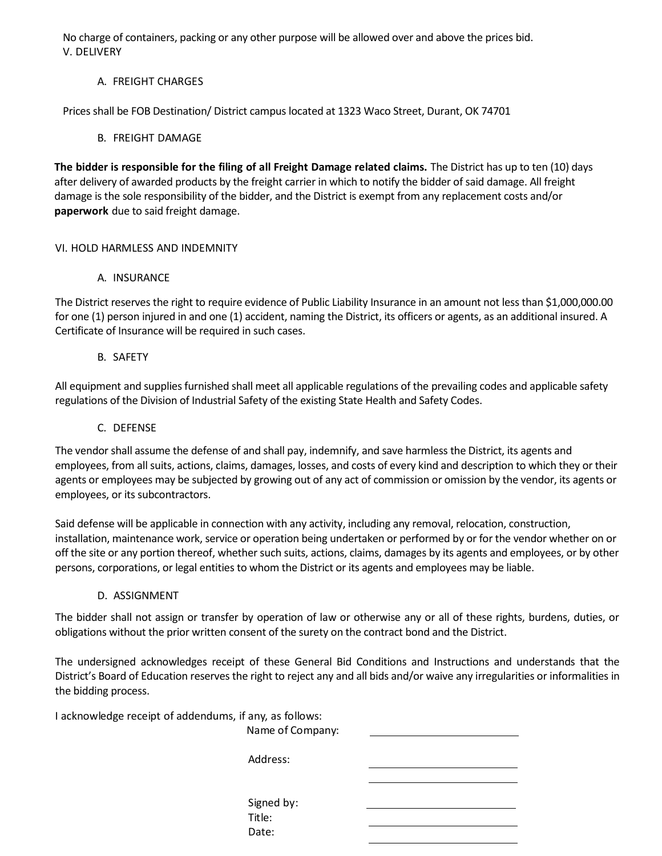No charge of containers, packing or any other purpose will be allowed over and above the prices bid. V. DELIVERY

# A. FREIGHT CHARGES

Prices shall be FOB Destination/ District campus located at 1323 Waco Street, Durant, OK 74701

## B. FREIGHT DAMAGE

**The bidder is responsible for the filing of all Freight Damage related claims.** The District has up to ten (10) days after delivery of awarded products by the freight carrier in which to notify the bidder of said damage. All freight damage is the sole responsibility of the bidder, and the District is exempt from any replacement costs and/or **paperwork** due to said freight damage.

## VI. HOLD HARMLESS AND INDEMNITY

## A. INSURANCE

The District reserves the right to require evidence of Public Liability Insurance in an amount not less than \$1,000,000.00 for one (1) person injured in and one (1) accident, naming the District, its officers or agents, as an additional insured. A Certificate of Insurance will be required in such cases.

## B. SAFETY

All equipment and supplies furnished shall meet all applicable regulations of the prevailing codes and applicable safety regulations of the Division of Industrial Safety of the existing State Health and Safety Codes.

## C. DEFENSE

The vendor shall assume the defense of and shall pay, indemnify, and save harmless the District, its agents and employees, from all suits, actions, claims, damages, losses, and costs of every kind and description to which they or their agents or employees may be subjected by growing out of any act of commission or omission by the vendor, its agents or employees, or its subcontractors.

Said defense will be applicable in connection with any activity, including any removal, relocation, construction, installation, maintenance work, service or operation being undertaken or performed by or for the vendor whether on or off the site or any portion thereof, whether such suits, actions, claims, damages by its agents and employees, or by other persons, corporations, or legal entities to whom the District or its agents and employees may be liable.

## D. ASSIGNMENT

The bidder shall not assign or transfer by operation of law or otherwise any or all of these rights, burdens, duties, or obligations without the prior written consent of the surety on the contract bond and the District.

The undersigned acknowledges receipt of these General Bid Conditions and Instructions and understands that the District's Board of Education reserves the right to reject any and all bids and/or waive any irregularities or informalities in the bidding process.

I acknowledge receipt of addendums, if any, as follows:

Name of Company:

Address:

Signed by: Title: Date: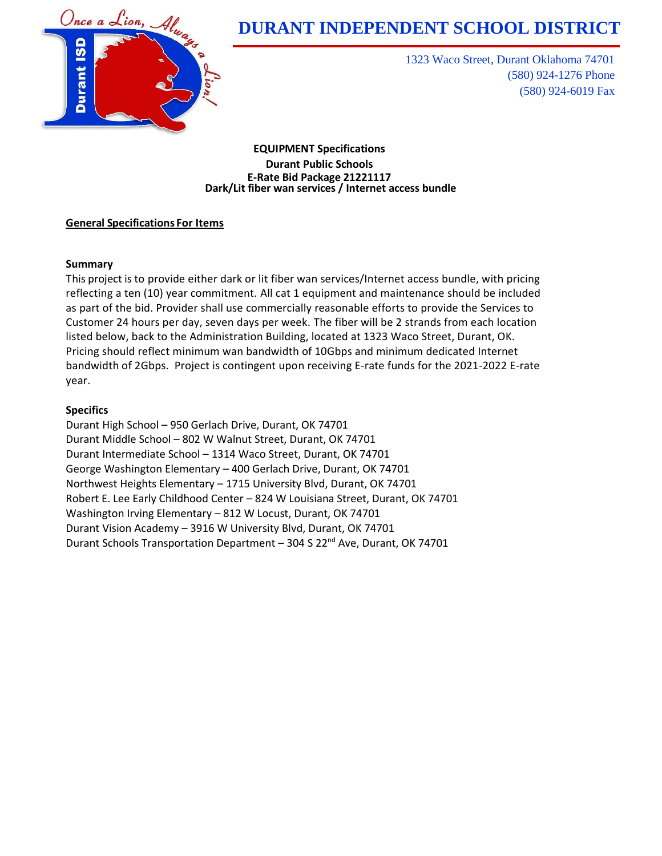

1323 Waco Street, Durant Oklahoma 74701 (580) 924-1276 Phone (580) 924-6019 Fax

**EQUIPMENT Specifications Durant Public Schools E-Rate Bid Package 21221117 Dark/Lit fiber wan services / Internet access bundle**

## **General Specifications For Items**

## **Summary**

This project is to provide either dark or lit fiber wan services/Internet access bundle, with pricing reflecting a ten (10) year commitment. All cat 1 equipment and maintenance should be included as part of the bid. Provider shall use commercially reasonable efforts to provide the Services to Customer 24 hours per day, seven days per week. The fiber will be 2 strands from each location listed below, back to the Administration Building, located at 1323 Waco Street, Durant, OK. Pricing should reflect minimum wan bandwidth of 10Gbps and minimum dedicated Internet bandwidth of 2Gbps. Project is contingent upon receiving E-rate funds for the 2021-2022 E-rate year.

## **Specifics**

Durant High School – 950 Gerlach Drive, Durant, OK 74701 Durant Middle School – 802 W Walnut Street, Durant, OK 74701 Durant Intermediate School – 1314 Waco Street, Durant, OK 74701 George Washington Elementary – 400 Gerlach Drive, Durant, OK 74701 Northwest Heights Elementary – 1715 University Blvd, Durant, OK 74701 Robert E. Lee Early Childhood Center – 824 W Louisiana Street, Durant, OK 74701 Washington Irving Elementary – 812 W Locust, Durant, OK 74701 Durant Vision Academy – 3916 W University Blvd, Durant, OK 74701 Durant Schools Transportation Department - 304 S 22<sup>nd</sup> Ave, Durant, OK 74701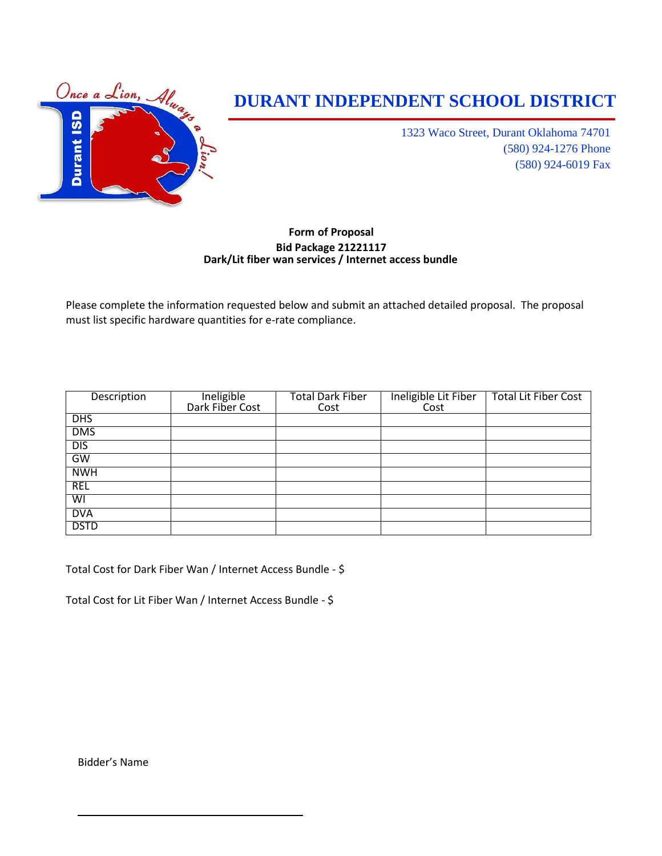

1323 Waco Street, Durant Oklahoma 74701 (580) 924-1276 Phone (580) 924-6019 Fax

## **Form of Proposal Bid Package 21221117 Dark/Lit fiber wan services / Internet access bundle**

Please complete the information requested below and submit an attached detailed proposal. The proposal must list specific hardware quantities for e-rate compliance.

| Description             | Ineligible      | <b>Total Dark Fiber</b> | Ineligible Lit Fiber | <b>Total Lit Fiber Cost</b> |
|-------------------------|-----------------|-------------------------|----------------------|-----------------------------|
|                         | Dark Fiber Cost | Cost                    | Cost                 |                             |
| <b>DHS</b>              |                 |                         |                      |                             |
| <b>DMS</b>              |                 |                         |                      |                             |
| DIS                     |                 |                         |                      |                             |
| GW                      |                 |                         |                      |                             |
| <b>NWH</b>              |                 |                         |                      |                             |
| <b>REL</b>              |                 |                         |                      |                             |
| $\overline{\mathsf{S}}$ |                 |                         |                      |                             |
| <b>DVA</b>              |                 |                         |                      |                             |
| <b>DSTD</b>             |                 |                         |                      |                             |

Total Cost for Dark Fiber Wan / Internet Access Bundle - \$

Total Cost for Lit Fiber Wan / Internet Access Bundle - \$

Bidder's Name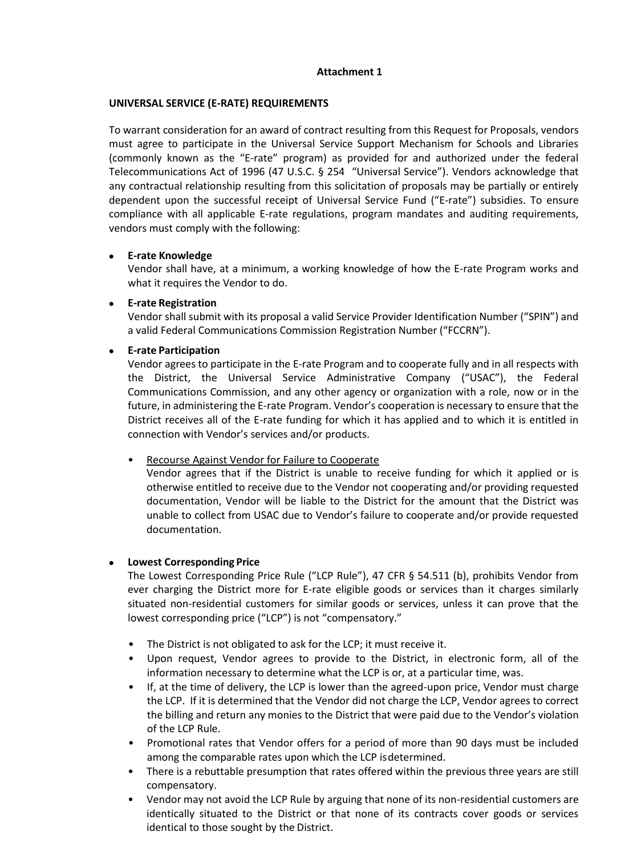## **Attachment 1**

## **UNIVERSAL SERVICE (E-RATE) REQUIREMENTS**

To warrant consideration for an award of contract resulting from this Request for Proposals, vendors must agree to participate in the Universal Service Support Mechanism for Schools and Libraries (commonly known as the "E-rate" program) as provided for and authorized under the federal Telecommunications Act of 1996 (47 U.S.C. § 254 "Universal Service"). Vendors acknowledge that any contractual relationship resulting from this solicitation of proposals may be partially or entirely dependent upon the successful receipt of Universal Service Fund ("E-rate") subsidies. To ensure compliance with all applicable E-rate regulations, program mandates and auditing requirements, vendors must comply with the following:

## **E-rate Knowledge**

Vendor shall have, at a minimum, a working knowledge of how the E-rate Program works and what it requires the Vendor to do.

## **E-rate Registration**

Vendor shall submit with its proposal a valid Service Provider Identification Number ("SPIN") and a valid Federal Communications Commission Registration Number ("FCCRN").

## **E-rate Participation**

Vendor agrees to participate in the E-rate Program and to cooperate fully and in all respects with the District, the Universal Service Administrative Company ("USAC"), the Federal Communications Commission, and any other agency or organization with a role, now or in the future, in administering the E-rate Program. Vendor's cooperation is necessary to ensure that the District receives all of the E-rate funding for which it has applied and to which it is entitled in connection with Vendor's services and/or products.

• Recourse Against Vendor for Failure to Cooperate

Vendor agrees that if the District is unable to receive funding for which it applied or is otherwise entitled to receive due to the Vendor not cooperating and/or providing requested documentation, Vendor will be liable to the District for the amount that the District was unable to collect from USAC due to Vendor's failure to cooperate and/or provide requested documentation.

#### **Lowest Corresponding Price**

The Lowest Corresponding Price Rule ("LCP Rule"), 47 CFR § 54.511 (b), prohibits Vendor from ever charging the District more for E-rate eligible goods or services than it charges similarly situated non-residential customers for similar goods or services, unless it can prove that the lowest corresponding price ("LCP") is not "compensatory."

- The District is not obligated to ask for the LCP; it must receive it.
- Upon request, Vendor agrees to provide to the District, in electronic form, all of the information necessary to determine what the LCP is or, at a particular time, was.
- If, at the time of delivery, the LCP is lower than the agreed-upon price, Vendor must charge the LCP. If it is determined that the Vendor did not charge the LCP, Vendor agrees to correct the billing and return any monies to the District that were paid due to the Vendor's violation of the LCP Rule.
- Promotional rates that Vendor offers for a period of more than 90 days must be included among the comparable rates upon which the LCP isdetermined.
- There is a rebuttable presumption that rates offered within the previous three years are still compensatory.
- Vendor may not avoid the LCP Rule by arguing that none of its non-residential customers are identically situated to the District or that none of its contracts cover goods or services identical to those sought by the District.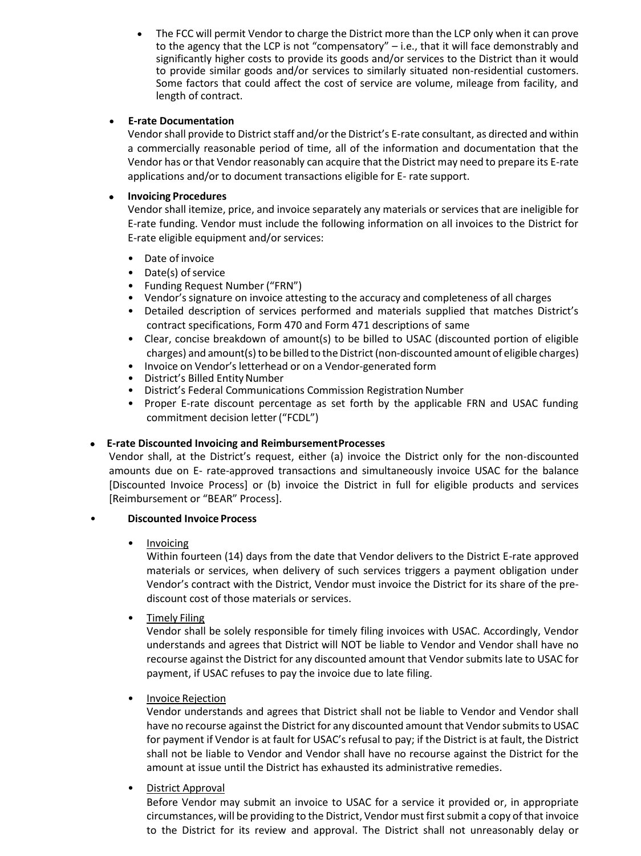The FCC will permit Vendor to charge the District more than the LCP only when it can prove to the agency that the LCP is not "compensatory" – i.e., that it will face demonstrably and significantly higher costs to provide its goods and/or services to the District than it would to provide similar goods and/or services to similarly situated non-residential customers. Some factors that could affect the cost of service are volume, mileage from facility, and length of contract.

## **E-rate Documentation**

Vendor shall provide to District staff and/or the District's E-rate consultant, as directed and within a commercially reasonable period of time, all of the information and documentation that the Vendor has or that Vendor reasonably can acquire that the District may need to prepare its E-rate applications and/or to document transactions eligible for E- rate support.

# **Invoicing Procedures**

Vendor shall itemize, price, and invoice separately any materials or services that are ineligible for E-rate funding. Vendor must include the following information on all invoices to the District for E-rate eligible equipment and/or services:

- Date of invoice
- Date(s) of service
- Funding Request Number ("FRN")
- Vendor's signature on invoice attesting to the accuracy and completeness of all charges
- Detailed description of services performed and materials supplied that matches District's contract specifications, Form 470 and Form 471 descriptions of same
- Clear, concise breakdown of amount(s) to be billed to USAC (discounted portion of eligible charges) and amount(s) to be billed to the District (non-discounted amount of eligible charges)
- Invoice on Vendor's letterhead or on a Vendor-generated form
- District's Billed Entity Number
- District's Federal Communications Commission Registration Number
- Proper E-rate discount percentage as set forth by the applicable FRN and USAC funding commitment decision letter("FCDL")

## **E-rate Discounted Invoicing and ReimbursementProcesses**

Vendor shall, at the District's request, either (a) invoice the District only for the non-discounted amounts due on E- rate-approved transactions and simultaneously invoice USAC for the balance [Discounted Invoice Process] or (b) invoice the District in full for eligible products and services [Reimbursement or "BEAR" Process].

## • **Discounted Invoice Process**

• Invoicing

Within fourteen (14) days from the date that Vendor delivers to the District E-rate approved materials or services, when delivery of such services triggers a payment obligation under Vendor's contract with the District, Vendor must invoice the District for its share of the prediscount cost of those materials or services.

• Timely Filing

Vendor shall be solely responsible for timely filing invoices with USAC. Accordingly, Vendor understands and agrees that District will NOT be liable to Vendor and Vendor shall have no recourse against the District for any discounted amount that Vendor submits late to USAC for payment, if USAC refuses to pay the invoice due to late filing.

• Invoice Rejection

Vendor understands and agrees that District shall not be liable to Vendor and Vendor shall have no recourse against the District for any discounted amount that Vendor submits to USAC for payment if Vendor is at fault for USAC's refusal to pay; if the District is at fault, the District shall not be liable to Vendor and Vendor shall have no recourse against the District for the amount at issue until the District has exhausted its administrative remedies.

• District Approval

Before Vendor may submit an invoice to USAC for a service it provided or, in appropriate circumstances, will be providing to the District, Vendor must first submit a copy of that invoice to the District for its review and approval. The District shall not unreasonably delay or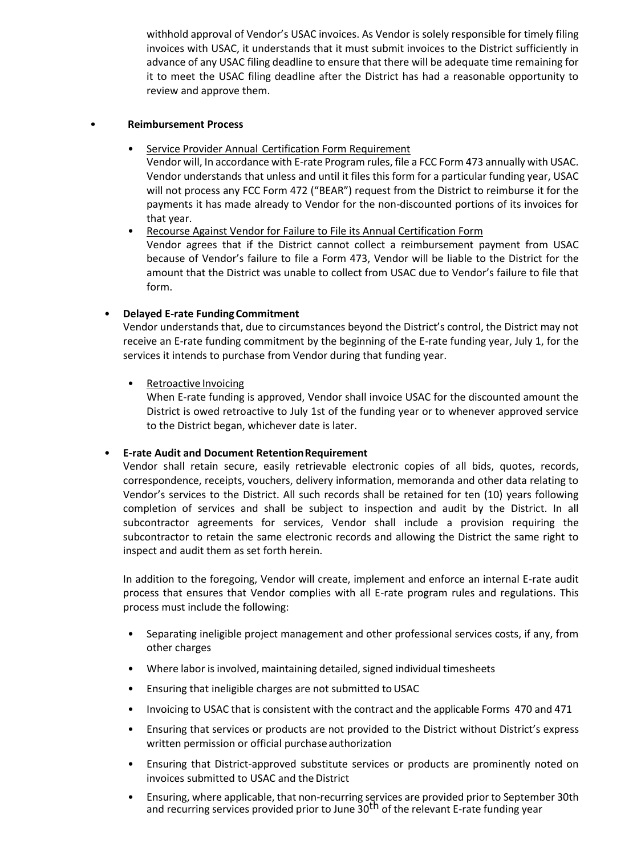withhold approval of Vendor's USAC invoices. As Vendor is solely responsible for timely filing invoices with USAC, it understands that it must submit invoices to the District sufficiently in advance of any USAC filing deadline to ensure that there will be adequate time remaining for it to meet the USAC filing deadline after the District has had a reasonable opportunity to review and approve them.

#### • **Reimbursement Process**

form.

- Service Provider Annual Certification Form Requirement
	- Vendor will, In accordance with E-rate Program rules, file a FCC Form 473 annually with USAC. Vendor understands that unless and until it files this form for a particular funding year, USAC will not process any FCC Form 472 ("BEAR") request from the District to reimburse it for the payments it has made already to Vendor for the non-discounted portions of its invoices for that year.
- Recourse Against Vendor for Failure to File its Annual Certification Form Vendor agrees that if the District cannot collect a reimbursement payment from USAC because of Vendor's failure to file a Form 473, Vendor will be liable to the District for the amount that the District was unable to collect from USAC due to Vendor's failure to file that

# • **Delayed E-rate FundingCommitment**

Vendor understands that, due to circumstances beyond the District's control, the District may not receive an E-rate funding commitment by the beginning of the E-rate funding year, July 1, for the services it intends to purchase from Vendor during that funding year.

• Retroactive Invoicing

When E-rate funding is approved, Vendor shall invoice USAC for the discounted amount the District is owed retroactive to July 1st of the funding year or to whenever approved service to the District began, whichever date is later.

## • **E-rate Audit and Document RetentionRequirement**

Vendor shall retain secure, easily retrievable electronic copies of all bids, quotes, records, correspondence, receipts, vouchers, delivery information, memoranda and other data relating to Vendor's services to the District. All such records shall be retained for ten (10) years following completion of services and shall be subject to inspection and audit by the District. In all subcontractor agreements for services, Vendor shall include a provision requiring the subcontractor to retain the same electronic records and allowing the District the same right to inspect and audit them as set forth herein.

In addition to the foregoing, Vendor will create, implement and enforce an internal E-rate audit process that ensures that Vendor complies with all E-rate program rules and regulations. This process must include the following:

- Separating ineligible project management and other professional services costs, if any, from other charges
- Where labor is involved, maintaining detailed, signed individual timesheets
- Ensuring that ineligible charges are not submitted to USAC
- Invoicing to USAC that is consistent with the contract and the applicable Forms 470 and 471
- Ensuring that services or products are not provided to the District without District's express written permission or official purchase authorization
- Ensuring that District-approved substitute services or products are prominently noted on invoices submitted to USAC and the District
- Ensuring, where applicable, that non-recurring services are provided prior to September 30th and recurring services provided prior to June  $30<sup>th</sup>$  of the relevant E-rate funding year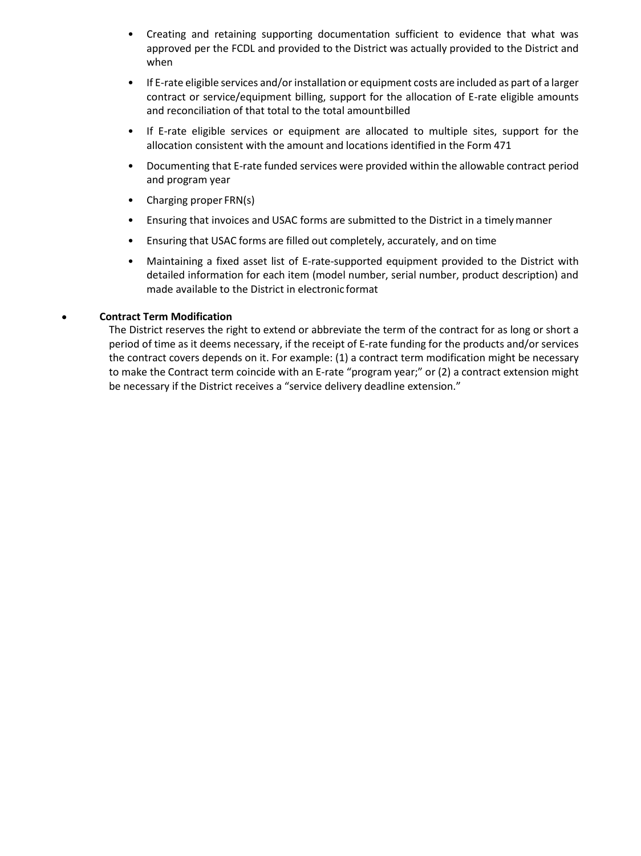- Creating and retaining supporting documentation sufficient to evidence that what was approved per the FCDL and provided to the District was actually provided to the District and when
- If E-rate eligible services and/or installation or equipment costs are included as part of a larger contract or service/equipment billing, support for the allocation of E-rate eligible amounts and reconciliation of that total to the total amountbilled
- If E-rate eligible services or equipment are allocated to multiple sites, support for the allocation consistent with the amount and locations identified in the Form 471
- Documenting that E-rate funded services were provided within the allowable contract period and program year
- Charging proper FRN(s)
- Ensuring that invoices and USAC forms are submitted to the District in a timelymanner
- Ensuring that USAC forms are filled out completely, accurately, and on time
- Maintaining a fixed asset list of E-rate-supported equipment provided to the District with detailed information for each item (model number, serial number, product description) and made available to the District in electronic format

#### **Contract Term Modification**

The District reserves the right to extend or abbreviate the term of the contract for as long or short a period of time as it deems necessary, if the receipt of E-rate funding for the products and/or services the contract covers depends on it. For example: (1) a contract term modification might be necessary to make the Contract term coincide with an E-rate "program year;" or (2) a contract extension might be necessary if the District receives a "service delivery deadline extension."